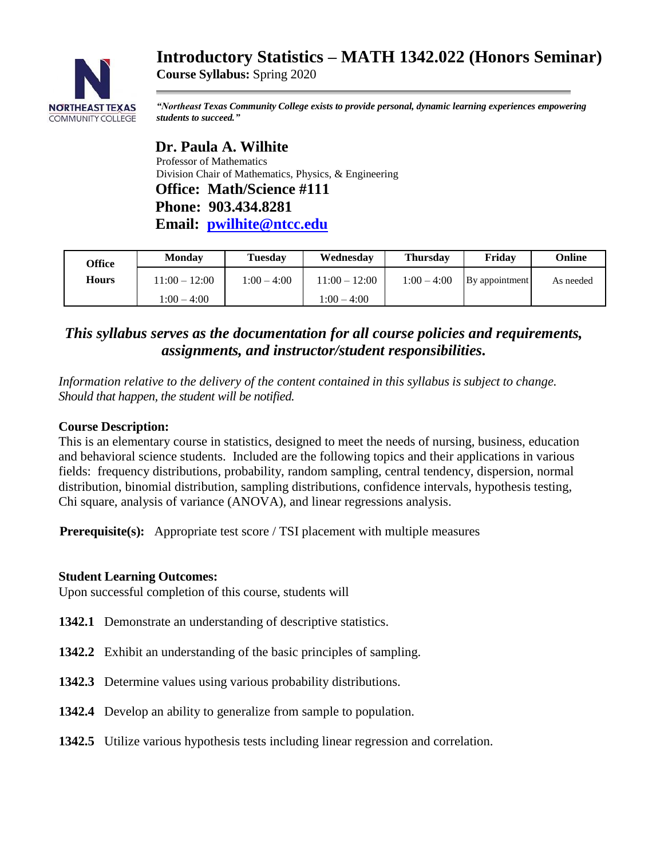# **Introductory Statistics – MATH 1342.022 (Honors Seminar)**



*"Northeast Texas Community College exists to provide personal, dynamic learning experiences empowering students to succeed."*

 **Dr. Paula A. Wilhite** Professor of Mathematics Division Chair of Mathematics, Physics, & Engineering  **Office: Math/Science #111 Phone: 903.434.8281 Email: [pwilhite@ntcc.edu](mailto:pwilhite@ntcc.edu)**

**Course Syllabus:** Spring 2020

| Office       | <b>Monday</b> | Tuesdav       | Wednesday       | <b>Thursday</b> | Fridav         | Online    |
|--------------|---------------|---------------|-----------------|-----------------|----------------|-----------|
| <b>Hours</b> | 11:00 – 12:00 | $1:00 - 4:00$ | $11:00 - 12:00$ | $1:00 - 4:00$   | By appointment | As needed |
|              | $1:00 - 4:00$ |               | $1:00 - 4:00$   |                 |                |           |

# *This syllabus serves as the documentation for all course policies and requirements, assignments, and instructor/student responsibilities.*

*Information relative to the delivery of the content contained in this syllabus is subject to change. Should that happen, the student will be notified.*

#### **Course Description:**

This is an elementary course in statistics, designed to meet the needs of nursing, business, education and behavioral science students. Included are the following topics and their applications in various fields: frequency distributions, probability, random sampling, central tendency, dispersion, normal distribution, binomial distribution, sampling distributions, confidence intervals, hypothesis testing, Chi square, analysis of variance (ANOVA), and linear regressions analysis.

**Prerequisite(s):** Appropriate test score / TSI placement with multiple measures

#### **Student Learning Outcomes:**

Upon successful completion of this course, students will

- **1342.1** Demonstrate an understanding of descriptive statistics.
- **1342.2** Exhibit an understanding of the basic principles of sampling.
- **1342.3** Determine values using various probability distributions.
- **1342.4** Develop an ability to generalize from sample to population.
- **1342.5** Utilize various hypothesis tests including linear regression and correlation.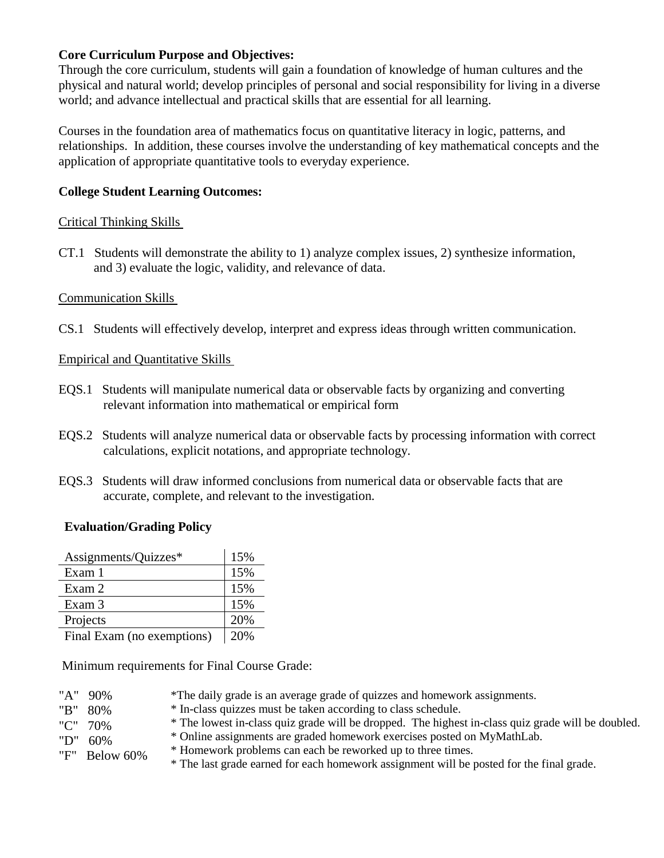#### **Core Curriculum Purpose and Objectives:**

Through the core curriculum, students will gain a foundation of knowledge of human cultures and the physical and natural world; develop principles of personal and social responsibility for living in a diverse world; and advance intellectual and practical skills that are essential for all learning.

Courses in the foundation area of mathematics focus on quantitative literacy in logic, patterns, and relationships. In addition, these courses involve the understanding of key mathematical concepts and the application of appropriate quantitative tools to everyday experience.

### **College Student Learning Outcomes:**

#### Critical Thinking Skills

CT.1 Students will demonstrate the ability to 1) analyze complex issues, 2) synthesize information, and 3) evaluate the logic, validity, and relevance of data.

# Communication Skills

CS.1 Students will effectively develop, interpret and express ideas through written communication.

# Empirical and Quantitative Skills

- EQS.1 Students will manipulate numerical data or observable facts by organizing and converting relevant information into mathematical or empirical form
- EQS.2 Students will analyze numerical data or observable facts by processing information with correct calculations, explicit notations, and appropriate technology.
- EQS.3 Students will draw informed conclusions from numerical data or observable facts that are accurate, complete, and relevant to the investigation.

# **Evaluation/Grading Policy**

| Assignments/Quizzes*       | 15% |
|----------------------------|-----|
| Exam 1                     | 15% |
| Exam 2                     | 15% |
| Exam 3                     | 15% |
| Projects                   | 20% |
| Final Fram (no exemptions) | 20% |

Final Exam (no exemptions)  $\vert$  20%

Minimum requirements for Final Course Grade:

- "A" 90% \*The daily grade is an average grade of quizzes and homework assignments.
	- \* In-class quizzes must be taken according to class schedule.
	- \* The lowest in-class quiz grade will be dropped. The highest in-class quiz grade will be doubled.
- "C" 70% "D" 60%

"B" 80%

- \* Online assignments are graded homework exercises posted on MyMathLab. \* Homework problems can each be reworked up to three times.
- "F" Below 60%
- \* The last grade earned for each homework assignment will be posted for the final grade.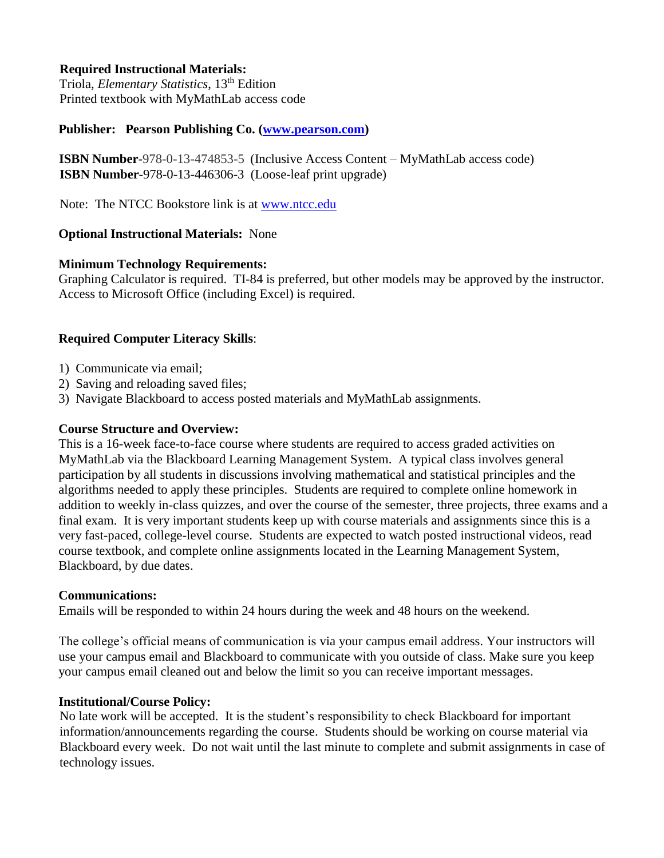#### **Required Instructional Materials:**

 Triola, *Elementary Statistics*, 13th Edition Printed textbook with MyMathLab access code

#### **Publisher: Pearson Publishing Co. [\(www.pearson.com\)](http://www.pearson.com/)**

 **ISBN Number**-978-0-13-474853-5 (Inclusive Access Content – MyMathLab access code) **ISBN Number**-978-0-13-446306-3 (Loose-leaf print upgrade)

Note: The NTCC Bookstore link is at [www.ntcc.edu](http://www.ntcc.edu/)

#### **Optional Instructional Materials:** None

#### **Minimum Technology Requirements:**

Graphing Calculator is required. TI-84 is preferred, but other models may be approved by the instructor. Access to Microsoft Office (including Excel) is required.

#### **Required Computer Literacy Skills**:

- 1) Communicate via email;
- 2) Saving and reloading saved files;
- 3) Navigate Blackboard to access posted materials and MyMathLab assignments.

#### **Course Structure and Overview:**

This is a 16-week face-to-face course where students are required to access graded activities on MyMathLab via the Blackboard Learning Management System. A typical class involves general participation by all students in discussions involving mathematical and statistical principles and the algorithms needed to apply these principles. Students are required to complete online homework in addition to weekly in-class quizzes, and over the course of the semester, three projects, three exams and a final exam. It is very important students keep up with course materials and assignments since this is a very fast-paced, college-level course. Students are expected to watch posted instructional videos, read course textbook, and complete online assignments located in the Learning Management System, Blackboard, by due dates.

#### **Communications:**

Emails will be responded to within 24 hours during the week and 48 hours on the weekend.

The college's official means of communication is via your campus email address. Your instructors will use your campus email and Blackboard to communicate with you outside of class. Make sure you keep your campus email cleaned out and below the limit so you can receive important messages.

#### **Institutional/Course Policy:**

 No late work will be accepted. It is the student's responsibility to check Blackboard for important information/announcements regarding the course. Students should be working on course material via Blackboard every week. Do not wait until the last minute to complete and submit assignments in case of technology issues.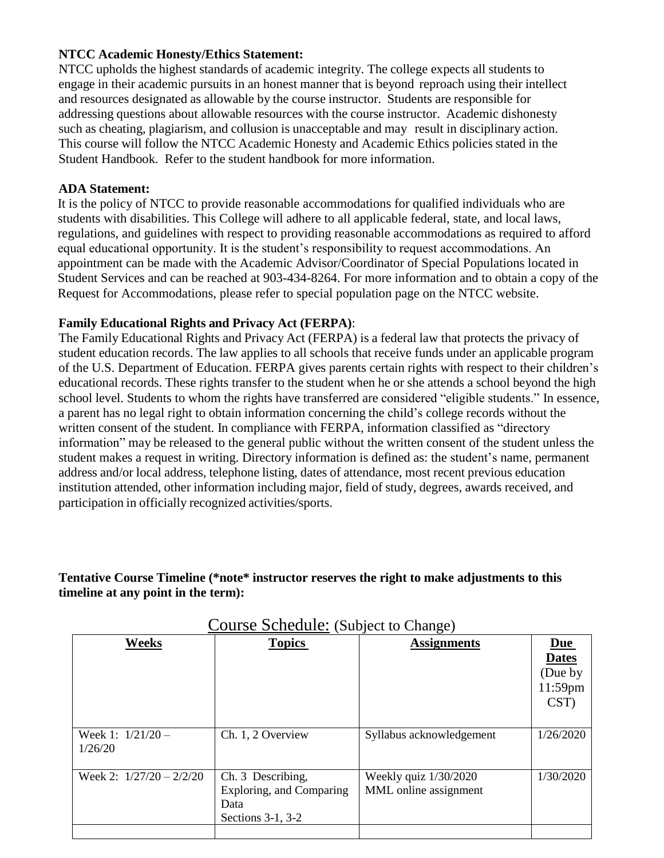#### **NTCC Academic Honesty/Ethics Statement:**

NTCC upholds the highest standards of academic integrity. The college expects all students to engage in their academic pursuits in an honest manner that is beyond reproach using their intellect and resources designated as allowable by the course instructor. Students are responsible for addressing questions about allowable resources with the course instructor. Academic dishonesty such as cheating, plagiarism, and collusion is unacceptable and may result in disciplinary action. This course will follow the NTCC Academic Honesty and Academic Ethics policies stated in the Student Handbook. Refer to the student handbook for more information.

#### **ADA Statement:**

It is the policy of NTCC to provide reasonable accommodations for qualified individuals who are students with disabilities. This College will adhere to all applicable federal, state, and local laws, regulations, and guidelines with respect to providing reasonable accommodations as required to afford equal educational opportunity. It is the student's responsibility to request accommodations. An appointment can be made with the Academic Advisor/Coordinator of Special Populations located in Student Services and can be reached at 903-434-8264. For more information and to obtain a copy of the Request for Accommodations, please refer to special population page on the NTCC websit[e.](http://www.ntcc.edu/index.php?module=Pagesetter&func=viewpub&tid=111&pid=1) 

#### **Family Educational Rights and Privacy Act (FERPA)**:

The Family Educational Rights and Privacy Act (FERPA) is a federal law that protects the privacy of student education records. The law applies to all schools that receive funds under an applicable program of the U.S. Department of Education. FERPA gives parents certain rights with respect to their children's educational records. These rights transfer to the student when he or she attends a school beyond the high school level. Students to whom the rights have transferred are considered "eligible students." In essence, a parent has no legal right to obtain information concerning the child's college records without the written consent of the student. In compliance with FERPA, information classified as "directory information" may be released to the general public without the written consent of the student unless the student makes a request in writing. Directory information is defined as: the student's name, permanent address and/or local address, telephone listing, dates of attendance, most recent previous education institution attended, other information including major, field of study, degrees, awards received, and participation in officially recognized activities/sports.

#### **Tentative Course Timeline (\*note\* instructor reserves the right to make adjustments to this timeline at any point in the term):**

| Weeks                          | <b>Topics</b>                                                              | <b>Assignments</b>                               |                                                          |
|--------------------------------|----------------------------------------------------------------------------|--------------------------------------------------|----------------------------------------------------------|
|                                |                                                                            |                                                  | <u>Due</u><br><b>Dates</b><br>(Due by<br>11:59pm<br>CST) |
| Week 1: $1/21/20$ –<br>1/26/20 | Ch. 1, 2 Overview                                                          | Syllabus acknowledgement                         | 1/26/2020                                                |
| Week 2: $1/27/20 - 2/2/20$     | Ch. 3 Describing,<br>Exploring, and Comparing<br>Data<br>Sections 3-1, 3-2 | Weekly quiz $1/30/2020$<br>MML online assignment | 1/30/2020                                                |
|                                |                                                                            |                                                  |                                                          |

 $Conves$   $Schodula: (S<sub>u</sub>)$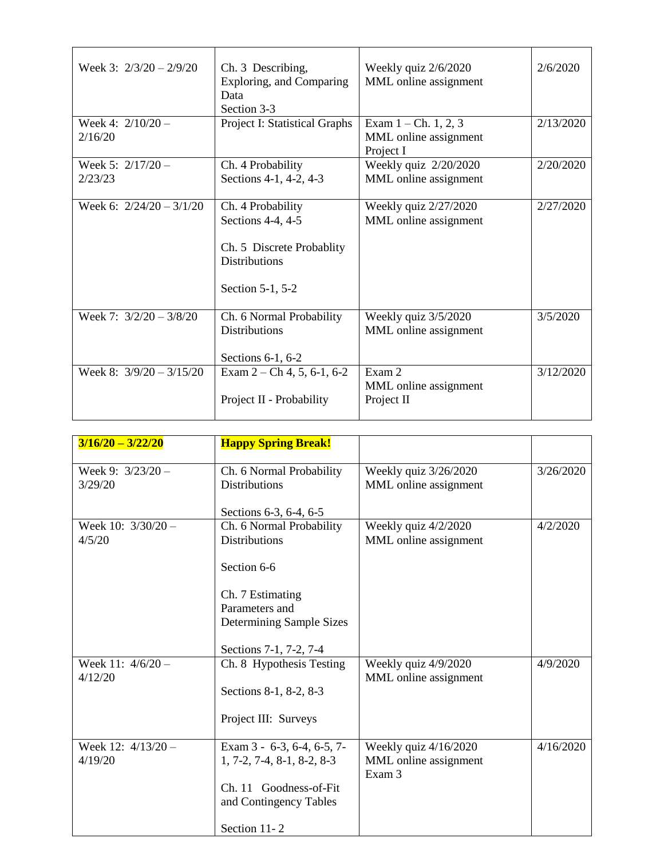| Week 3: $2/3/20 - 2/9/20$      | Ch. 3 Describing,<br>Exploring, and Comparing<br>Data<br>Section 3-3                                            | Weekly quiz 2/6/2020<br>MML online assignment                | 2/6/2020  |
|--------------------------------|-----------------------------------------------------------------------------------------------------------------|--------------------------------------------------------------|-----------|
| Week 4: $2/10/20 -$<br>2/16/20 | Project I: Statistical Graphs                                                                                   | Exam $1 - Ch. 1, 2, 3$<br>MML online assignment<br>Project I | 2/13/2020 |
| Week 5: $2/17/20 -$<br>2/23/23 | Ch. 4 Probability<br>Sections 4-1, 4-2, 4-3                                                                     | Weekly quiz 2/20/2020<br>MML online assignment               | 2/20/2020 |
| Week 6: $2/24/20 - 3/1/20$     | Ch. 4 Probability<br>Sections 4-4, 4-5<br>Ch. 5 Discrete Probablity<br><b>Distributions</b><br>Section 5-1, 5-2 | Weekly quiz 2/27/2020<br>MML online assignment               | 2/27/2020 |
| Week 7: $3/2/20 - 3/8/20$      | Ch. 6 Normal Probability<br><b>Distributions</b><br>Sections 6-1, 6-2                                           | Weekly quiz 3/5/2020<br>MML online assignment                | 3/5/2020  |
| Week 8: $3/9/20 - 3/15/20$     | Exam $2 - Ch$ 4, 5, 6-1, 6-2<br>Project II - Probability                                                        | Exam 2<br>MML online assignment<br>Project II                | 3/12/2020 |

| $3/16/20 - 3/22/20$            | <b>Happy Spring Break!</b>                                                                                                     |                                                          |           |
|--------------------------------|--------------------------------------------------------------------------------------------------------------------------------|----------------------------------------------------------|-----------|
| Week 9: $3/23/20 -$<br>3/29/20 | Ch. 6 Normal Probability<br><b>Distributions</b>                                                                               | Weekly quiz 3/26/2020<br>MML online assignment           | 3/26/2020 |
|                                | Sections 6-3, 6-4, 6-5                                                                                                         |                                                          |           |
| Week 10: $3/30/20 -$<br>4/5/20 | Ch. 6 Normal Probability<br><b>Distributions</b><br>Section 6-6                                                                | Weekly quiz 4/2/2020<br>MML online assignment            | 4/2/2020  |
|                                | Ch. 7 Estimating<br>Parameters and<br>Determining Sample Sizes<br>Sections 7-1, 7-2, 7-4                                       |                                                          |           |
| Week 11: $4/6/20 -$<br>4/12/20 | Ch. 8 Hypothesis Testing<br>Sections 8-1, 8-2, 8-3<br>Project III: Surveys                                                     | Weekly quiz 4/9/2020<br>MML online assignment            | 4/9/2020  |
| Week 12: 4/13/20 -<br>4/19/20  | Exam 3 - 6-3, 6-4, 6-5, 7-<br>$1, 7-2, 7-4, 8-1, 8-2, 8-3$<br>Ch. 11 Goodness-of-Fit<br>and Contingency Tables<br>Section 11-2 | Weekly quiz 4/16/2020<br>MML online assignment<br>Exam 3 | 4/16/2020 |